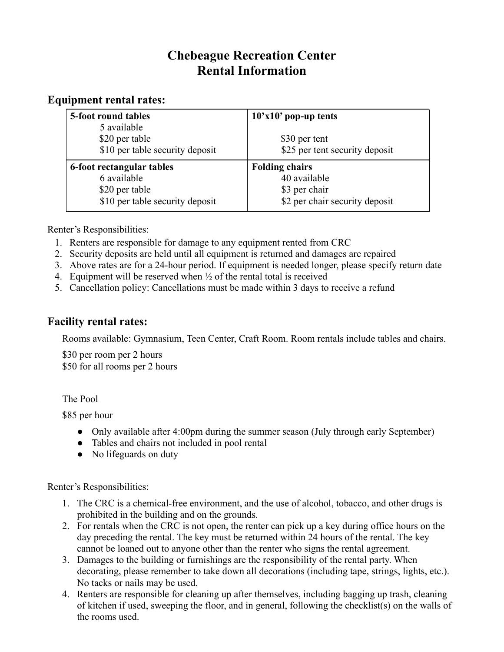## **Chebeague Recreation Center Rental Information**

## **Equipment rental rates:**

| 5-foot round tables             | $10'x10'$ pop-up tents         |
|---------------------------------|--------------------------------|
| 5 available                     |                                |
| \$20 per table                  | \$30 per tent                  |
| \$10 per table security deposit | \$25 per tent security deposit |
|                                 |                                |
| 6-foot rectangular tables       | <b>Folding chairs</b>          |
| 6 available                     | 40 available                   |
| \$20 per table                  | \$3 per chair                  |

Renter's Responsibilities:

- 1. Renters are responsible for damage to any equipment rented from CRC
- 2. Security deposits are held until all equipment is returned and damages are repaired
- 3. Above rates are for a 24-hour period. If equipment is needed longer, please specify return date
- 4. Equipment will be reserved when  $\frac{1}{2}$  of the rental total is received
- 5. Cancellation policy: Cancellations must be made within 3 days to receive a refund

## **Facility rental rates:**

Rooms available: Gymnasium, Teen Center, Craft Room. Room rentals include tables and chairs.

\$30 per room per 2 hours \$50 for all rooms per 2 hours

The Pool

\$85 per hour

- Only available after 4:00pm during the summer season (July through early September)
- Tables and chairs not included in pool rental
- No lifeguards on duty

Renter's Responsibilities:

- 1. The CRC is a chemical-free environment, and the use of alcohol, tobacco, and other drugs is prohibited in the building and on the grounds.
- 2. For rentals when the CRC is not open, the renter can pick up a key during office hours on the day preceding the rental. The key must be returned within 24 hours of the rental. The key cannot be loaned out to anyone other than the renter who signs the rental agreement.
- 3. Damages to the building or furnishings are the responsibility of the rental party. When decorating, please remember to take down all decorations (including tape, strings, lights, etc.). No tacks or nails may be used.
- 4. Renters are responsible for cleaning up after themselves, including bagging up trash, cleaning of kitchen if used, sweeping the floor, and in general, following the checklist(s) on the walls of the rooms used.